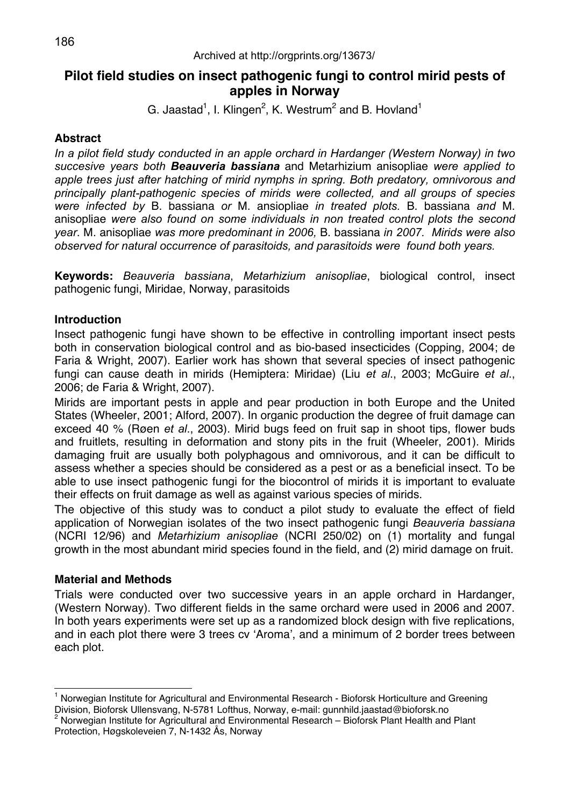# **Pilot field studies on insect pathogenic fungi to control mirid pests of apples in Norway**

G. Jaastad<sup>1</sup>, I. Klingen<sup>2</sup>, K. Westrum<sup>2</sup> and B. Hovland<sup>1</sup>

## **Abstract**

*In a pilot field study conducted in an apple orchard in Hardanger (Western Norway) in two succesive years both Beauveria bassiana* and Metarhizium anisopliae *were applied to apple trees just after hatching of mirid nymphs in spring. Both predatory, omnivorous and principally plant-pathogenic species of mirids were collected, and all groups of species were infected by* B. bassiana *or* M. ansiopliae *in treated plots.* B. bassiana *and* M. anisopliae *were also found on some individuals in non treated control plots the second year*. M. anisopliae *was more predominant in 2006,* B. bassiana *in 2007. Mirids were also observed for natural occurrence of parasitoids, and parasitoids were found both years.*

**Keywords:** *Beauveria bassiana*, *Metarhizium anisopliae*, biological control, insect pathogenic fungi, Miridae, Norway, parasitoids

## **Introduction**

Insect pathogenic fungi have shown to be effective in controlling important insect pests both in conservation biological control and as bio-based insecticides (Copping, 2004; de Faria & Wright, 2007). Earlier work has shown that several species of insect pathogenic fungi can cause death in mirids (Hemiptera: Miridae) (Liu *et al*., 2003; McGuire *et al*., 2006; de Faria & Wright, 2007).

Mirids are important pests in apple and pear production in both Europe and the United States (Wheeler, 2001; Alford, 2007). In organic production the degree of fruit damage can exceed 40 % (Røen *et al*., 2003). Mirid bugs feed on fruit sap in shoot tips, flower buds and fruitlets, resulting in deformation and stony pits in the fruit (Wheeler, 2001). Mirids damaging fruit are usually both polyphagous and omnivorous, and it can be difficult to assess whether a species should be considered as a pest or as a beneficial insect. To be able to use insect pathogenic fungi for the biocontrol of mirids it is important to evaluate their effects on fruit damage as well as against various species of mirids.

The objective of this study was to conduct a pilot study to evaluate the effect of field application of Norwegian isolates of the two insect pathogenic fungi *Beauveria bassiana* (NCRI 12/96) and *Metarhizium anisopliae* (NCRI 250/02) on (1) mortality and fungal growth in the most abundant mirid species found in the field, and (2) mirid damage on fruit.

### **Material and Methods**

Trials were conducted over two successive years in an apple orchard in Hardanger, (Western Norway). Two different fields in the same orchard were used in 2006 and 2007. In both years experiments were set up as a randomized block design with five replications, and in each plot there were 3 trees cv 'Aroma', and a minimum of 2 border trees between each plot.

 $\overline{a}$ 1 Norwegian Institute for Agricultural and Environmental Research - Bioforsk Horticulture and Greening Division, Bioforsk Ullensvang, N-5781 Lofthus, Norway, e-mail: gunnhild.jaastad@bioforsk.no 2

<sup>&</sup>lt;sup>2</sup> Norwegian Institute for Agricultural and Environmental Research - Bioforsk Plant Health and Plant Protection, Høgskoleveien 7, N-1432 Ås, Norway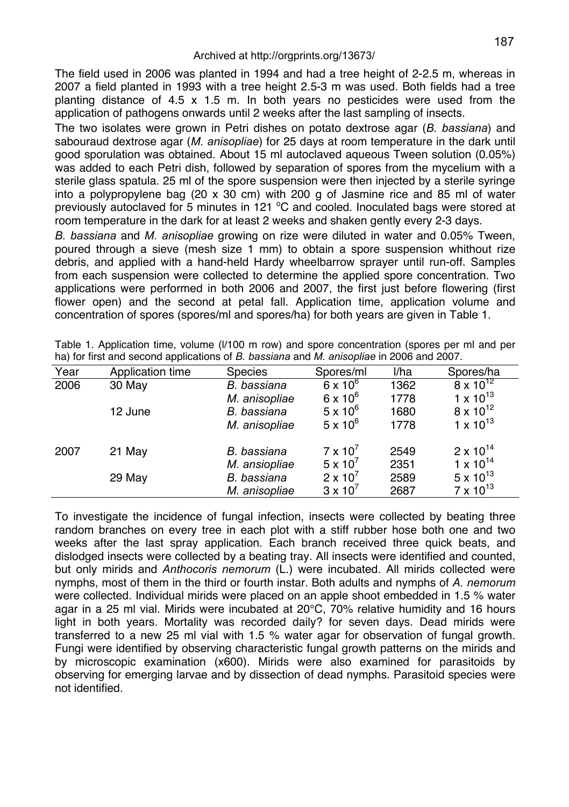The field used in 2006 was planted in 1994 and had a tree height of 2-2.5 m, whereas in 2007 a field planted in 1993 with a tree height 2.5-3 m was used. Both fields had a tree planting distance of 4.5 x 1.5 m. In both years no pesticides were used from the application of pathogens onwards until 2 weeks after the last sampling of insects.

The two isolates were grown in Petri dishes on potato dextrose agar (*B. bassiana*) and sabouraud dextrose agar (*M. anisopliae*) for 25 days at room temperature in the dark until good sporulation was obtained. About 15 ml autoclaved aqueous Tween solution (0.05%) was added to each Petri dish, followed by separation of spores from the mycelium with a sterile glass spatula. 25 ml of the spore suspension were then injected by a sterile syringe into a polypropylene bag  $(20 \times 30 \text{ cm})$  with 200 g of Jasmine rice and 85 ml of water previously autoclaved for 5 minutes in 121  $^{\circ}$ C and cooled. Inoculated bags were stored at room temperature in the dark for at least 2 weeks and shaken gently every 2-3 days.

*B. bassiana* and *M. anisopliae* growing on rize were diluted in water and 0.05% Tween, poured through a sieve (mesh size 1 mm) to obtain a spore suspension whithout rize debris, and applied with a hand-held Hardy wheelbarrow sprayer until run-off. Samples from each suspension were collected to determine the applied spore concentration. Two applications were performed in both 2006 and 2007, the first just before flowering (first flower open) and the second at petal fall. Application time, application volume and concentration of spores (spores/ml and spores/ha) for both years are given in Table 1.

| Year | Application time | <b>Species</b> | Spores/ml         | l/ha | Spores/ha          |
|------|------------------|----------------|-------------------|------|--------------------|
| 2006 | 30 May           | B. bassiana    | $6 \times 10^6$   | 1362 | $8 \times 10^{12}$ |
|      |                  | M. anisopliae  | $6 \times 10^{6}$ | 1778 | 1 x $10^{13}$      |
|      | 12 June          | B. bassiana    | $5 \times 10^6$   | 1680 | $8 \times 10^{12}$ |
|      |                  | M. anisopliae  | $5 \times 10^6$   | 1778 | 1 x $10^{13}$      |
| 2007 | 21 May           | B. bassiana    | $7 \times 10^{7}$ | 2549 | $2 \times 10^{14}$ |
|      |                  | M. ansiopliae  | $5 \times 10^{7}$ | 2351 | $1 \times 10^{14}$ |
|      | 29 May           | B. bassiana    | $2 \times 10'$    | 2589 | $5 \times 10^{13}$ |
|      |                  | M. anisopliae  | $3 \times 10^{7}$ | 2687 | $7 \times 10^{13}$ |

Table 1. Application time, volume (l/100 m row) and spore concentration (spores per ml and per ha) for first and second applications of *B. bassiana* and *M. anisopliae* in 2006 and 2007.

To investigate the incidence of fungal infection, insects were collected by beating three random branches on every tree in each plot with a stiff rubber hose both one and two weeks after the last spray application. Each branch received three quick beats, and dislodged insects were collected by a beating tray. All insects were identified and counted, but only mirids and *Anthocoris nemorum* (L.) were incubated. All mirids collected were nymphs, most of them in the third or fourth instar. Both adults and nymphs of *A. nemorum* were collected. Individual mirids were placed on an apple shoot embedded in 1.5 % water agar in a 25 ml vial. Mirids were incubated at 20°C, 70% relative humidity and 16 hours light in both years. Mortality was recorded daily? for seven days. Dead mirids were transferred to a new 25 ml vial with 1.5 % water agar for observation of fungal growth. Fungi were identified by observing characteristic fungal growth patterns on the mirids and by microscopic examination (x600). Mirids were also examined for parasitoids by observing for emerging larvae and by dissection of dead nymphs. Parasitoid species were not identified.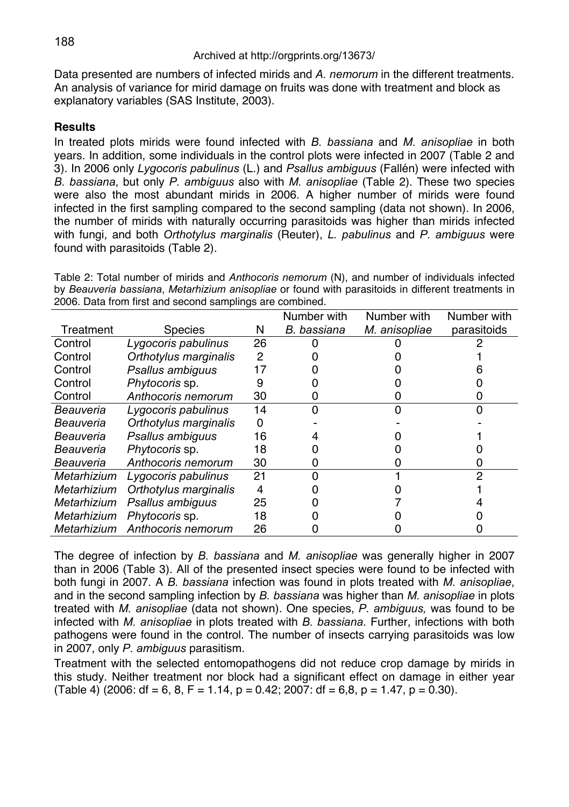Data presented are numbers of infected mirids and *A. nemorum* in the different treatments. An analysis of variance for mirid damage on fruits was done with treatment and block as explanatory variables (SAS Institute, 2003).

## **Results**

In treated plots mirids were found infected with *B. bassiana* and *M. anisopliae* in both years. In addition, some individuals in the control plots were infected in 2007 (Table 2 and 3). In 2006 only *Lygocoris pabulinus* (L.) and *Psallus ambiguus* (Fallén) were infected with *B. bassiana*, but only *P. ambiguus* also with *M. anisopliae* (Table 2). These two species were also the most abundant mirids in 2006. A higher number of mirids were found infected in the first sampling compared to the second sampling (data not shown). In 2006, the number of mirids with naturally occurring parasitoids was higher than mirids infected with fungi, and both *Orthotylus marginalis* (Reuter), *L. pabulinus* and *P. ambiguus* were found with parasitoids (Table 2).

Table 2: Total number of mirids and *Anthocoris nemorum* (N), and number of individuals infected by *Beauveria bassiana*, *Metarhizium anisopliae* or found with parasitoids in different treatments in 2006. Data from first and second samplings are combined.

|             |                       |    | Number with | Number with   | Number with |
|-------------|-----------------------|----|-------------|---------------|-------------|
| Treatment   | <b>Species</b>        | N  | B. bassiana | M. anisopliae | parasitoids |
| Control     | Lygocoris pabulinus   | 26 |             |               |             |
| Control     | Orthotylus marginalis | 2  |             |               |             |
| Control     | Psallus ambiguus      | 17 |             |               |             |
| Control     | Phytocoris sp.        |    |             |               |             |
| Control     | Anthocoris nemorum    | 30 |             |               |             |
| Beauveria   | Lygocoris pabulinus   | 14 | ი           |               |             |
| Beauveria   | Orthotylus marginalis |    |             |               |             |
| Beauveria   | Psallus ambiguus      | 16 |             |               |             |
| Beauveria   | Phytocoris sp.        | 18 |             |               |             |
| Beauveria   | Anthocoris nemorum    | 30 |             |               |             |
| Metarhizium | Lygocoris pabulinus   | 21 |             |               | っ           |
| Metarhizium | Orthotylus marginalis | 4  |             |               |             |
| Metarhizium | Psallus ambiguus      | 25 |             |               |             |
| Metarhizium | Phytocoris sp.        | 18 |             |               |             |
| Metarhizium | Anthocoris nemorum    | 26 |             |               |             |

The degree of infection by *B. bassiana* and *M. anisopliae* was generally higher in 2007 than in 2006 (Table 3). All of the presented insect species were found to be infected with both fungi in 2007. A *B. bassiana* infection was found in plots treated with *M. anisopliae*, and in the second sampling infection by *B. bassiana* was higher than *M. anisopliae* in plots treated with *M. anisopliae* (data not shown). One species, *P. ambiguus,* was found to be infected with *M. anisopliae* in plots treated with *B. bassiana*. Further, infections with both pathogens were found in the control. The number of insects carrying parasitoids was low in 2007, only *P. ambiguus* parasitism.

Treatment with the selected entomopathogens did not reduce crop damage by mirids in this study. Neither treatment nor block had a significant effect on damage in either year  $(Table 4)$  (2006: df = 6, 8, F = 1.14, p = 0.42; 2007: df = 6,8, p = 1.47, p = 0.30).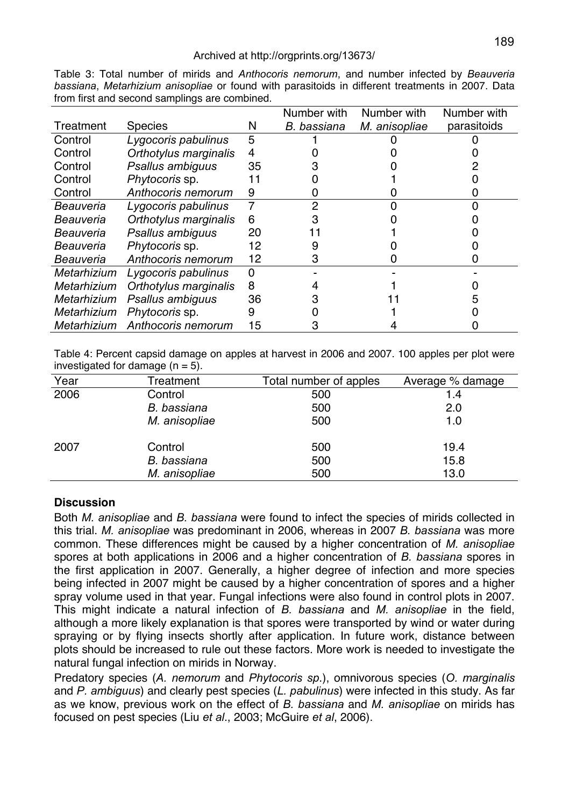#### Archived at http://orgprints.org/13673/

|             |                       |    | Number with | Number with   | Number with |
|-------------|-----------------------|----|-------------|---------------|-------------|
| Treatment   | <b>Species</b>        | N  | B. bassiana | M. anisopliae | parasitoids |
| Control     | Lygocoris pabulinus   | 5  |             |               |             |
| Control     | Orthotylus marginalis | 4  |             |               |             |
| Control     | Psallus ambiguus      | 35 |             |               |             |
| Control     | Phytocoris sp.        | 11 |             |               |             |
| Control     | Anthocoris nemorum    | 9  |             |               |             |
| Beauveria   | Lygocoris pabulinus   |    | 2           |               |             |
| Beauveria   | Orthotylus marginalis | 6  |             |               |             |
| Beauveria   | Psallus ambiguus      | 20 |             |               |             |
| Beauveria   | Phytocoris sp.        | 12 | 9           |               |             |
| Beauveria   | Anthocoris nemorum    | 12 | з           |               |             |
| Metarhizium | Lygocoris pabulinus   | 0  |             |               |             |
| Metarhizium | Orthotylus marginalis | 8  |             |               |             |
| Metarhizium | Psallus ambiguus      | 36 |             |               |             |
| Metarhizium | Phytocoris sp.        | 9  |             |               |             |
| Metarhizium | Anthocoris nemorum    | 15 |             |               |             |

Table 3: Total number of mirids and *Anthocoris nemorum*, and number infected by *Beauveria bassiana*, *Metarhizium anisopliae* or found with parasitoids in different treatments in 2007. Data from first and second samplings are combined.

Table 4: Percent capsid damage on apples at harvest in 2006 and 2007. 100 apples per plot were investigated for damage  $(n = 5)$ .

| Year | Treatment     | Total number of apples | Average % damage |
|------|---------------|------------------------|------------------|
| 2006 | Control       | 500                    | 1.4              |
|      | B. bassiana   | 500                    | 2.0              |
|      | M. anisopliae | 500                    | 1.0              |
| 2007 | Control       | 500                    | 19.4             |
|      | B. bassiana   | 500                    | 15.8             |
|      | M. anisopliae | 500                    | 13.0             |
|      |               |                        |                  |

## **Discussion**

Both *M. anisopliae* and *B. bassiana* were found to infect the species of mirids collected in this trial. *M. anisopliae* was predominant in 2006, whereas in 2007 *B. bassiana* was more common. These differences might be caused by a higher concentration of *M. anisopliae* spores at both applications in 2006 and a higher concentration of *B. bassiana* spores in the first application in 2007. Generally, a higher degree of infection and more species being infected in 2007 might be caused by a higher concentration of spores and a higher spray volume used in that year. Fungal infections were also found in control plots in 2007. This might indicate a natural infection of *B. bassiana* and *M. anisopliae* in the field, although a more likely explanation is that spores were transported by wind or water during spraying or by flying insects shortly after application. In future work, distance between plots should be increased to rule out these factors. More work is needed to investigate the natural fungal infection on mirids in Norway.

Predatory species (*A. nemorum* and *Phytocoris sp*.), omnivorous species (*O. marginalis* and *P. ambiguus*) and clearly pest species (*L. pabulinus*) were infected in this study. As far as we know, previous work on the effect of *B. bassiana* and *M. anisopliae* on mirids has focused on pest species (Liu *et al*., 2003; McGuire *et al*, 2006).